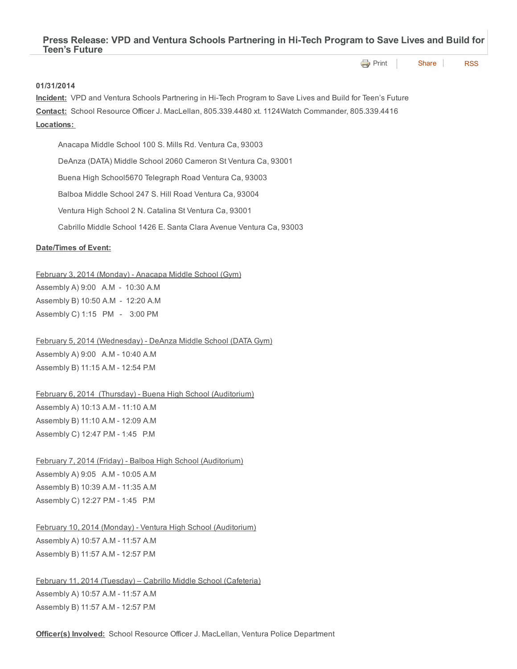**[Print](http://www.cityofventura.net/print/15508) [Share](javascript:void(0)) [RSS](http://www.cityofventura.net/feed/press_release/rss.xml)** 

## 01/31/2014

Incident: VPD and Ventura Schools Partnering in Hi-Tech Program to Save Lives and Build for Teen's Future Contact: School Resource Officer J. MacLellan, 805.339.4480 xt. 1124Watch Commander, 805.339.4416 Locations:

Anacapa Middle School 100 S. Mills Rd. Ventura Ca, 93003 DeAnza (DATA) Middle School 2060 Cameron St Ventura Ca, 93001 Buena High School5670 Telegraph Road Ventura Ca, 93003 Balboa Middle School 247 S. Hill Road Ventura Ca, 93004 Ventura High School 2 N. Catalina St Ventura Ca, 93001 Cabrillo Middle School 1426 E. Santa Clara Avenue Ventura Ca, 93003

## Date/Times of Event:

## February 3, 2014 (Monday) - Anacapa Middle School (Gym)

Assembly A) 9:00 A.M - 10:30 A.M Assembly B) 10:50 A.M - 12:20 A.M Assembly C) 1:15 PM - 3:00 PM

February 5, 2014 (Wednesday) - DeAnza Middle School (DATA Gym)

Assembly A) 9:00 A.M - 10:40 A.M Assembly B) 11:15 A.M - 12:54 P.M

February 6, 2014 (Thursday) - Buena High School (Auditorium) Assembly A) 10:13 A.M - 11:10 A.M Assembly B) 11:10 A.M - 12:09 A.M Assembly C) 12:47 P.M - 1:45 P.M

February 7, 2014 (Friday) - Balboa High School (Auditorium) Assembly A) 9:05 A.M - 10:05 A.M Assembly B) 10:39 A.M - 11:35 A.M Assembly C) 12:27 P.M - 1:45 P.M

February 10, 2014 (Monday) - Ventura High School (Auditorium) Assembly A) 10:57 A.M - 11:57 A.M Assembly B) 11:57 A.M - 12:57 P.M

February 11, 2014 (Tuesday) – Cabrillo Middle School (Cafeteria) Assembly A) 10:57 A.M - 11:57 A.M Assembly B) 11:57 A.M - 12:57 P.M

Officer(s) Involved: School Resource Officer J. MacLellan, Ventura Police Department